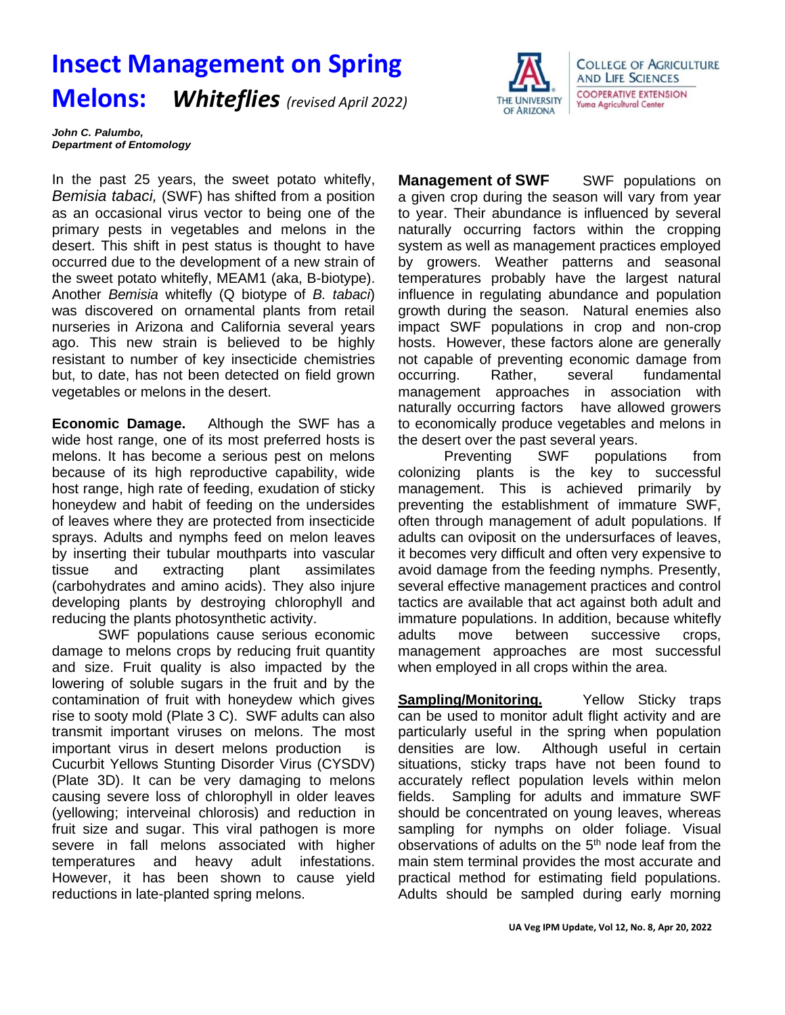## **Insect Management on Spring Melons:** *Whiteflies (revised April 2022)*



*John C. Palumbo, Department of Entomology*

In the past 25 years, the sweet potato whitefly, *Bemisia tabaci,* (SWF) has shifted from a position as an occasional virus vector to being one of the primary pests in vegetables and melons in the desert. This shift in pest status is thought to have occurred due to the development of a new strain of the sweet potato whitefly, MEAM1 (aka, B-biotype). Another *Bemisia* whitefly (Q biotype of *B. tabaci*) was discovered on ornamental plants from retail nurseries in Arizona and California several years ago. This new strain is believed to be highly resistant to number of key insecticide chemistries but, to date, has not been detected on field grown vegetables or melons in the desert.

**Economic Damage.** Although the SWF has a wide host range, one of its most preferred hosts is melons. It has become a serious pest on melons because of its high reproductive capability, wide host range, high rate of feeding, exudation of sticky honeydew and habit of feeding on the undersides of leaves where they are protected from insecticide sprays. Adults and nymphs feed on melon leaves by inserting their tubular mouthparts into vascular tissue and extracting plant assimilates (carbohydrates and amino acids). They also injure developing plants by destroying chlorophyll and reducing the plants photosynthetic activity.

SWF populations cause serious economic damage to melons crops by reducing fruit quantity and size. Fruit quality is also impacted by the lowering of soluble sugars in the fruit and by the contamination of fruit with honeydew which gives rise to sooty mold (Plate 3 C). SWF adults can also transmit important viruses on melons. The most important virus in desert melons production is Cucurbit Yellows Stunting Disorder Virus (CYSDV) (Plate 3D). It can be very damaging to melons causing severe loss of chlorophyll in older leaves (yellowing; interveinal chlorosis) and reduction in fruit size and sugar. This viral pathogen is more severe in fall melons associated with higher temperatures and heavy adult infestations. However, it has been shown to cause yield reductions in late-planted spring melons.

**Management of SWF** SWF populations on a given crop during the season will vary from year to year. Their abundance is influenced by several naturally occurring factors within the cropping system as well as management practices employed by growers. Weather patterns and seasonal temperatures probably have the largest natural influence in regulating abundance and population growth during the season. Natural enemies also impact SWF populations in crop and non-crop hosts. However, these factors alone are generally not capable of preventing economic damage from occurring. Rather, several fundamental management approaches in association with naturally occurring factors have allowed growers to economically produce vegetables and melons in the desert over the past several years.

Preventing SWF populations from colonizing plants is the key to successful management. This is achieved primarily by preventing the establishment of immature SWF, often through management of adult populations. If adults can oviposit on the undersurfaces of leaves, it becomes very difficult and often very expensive to avoid damage from the feeding nymphs. Presently, several effective management practices and control tactics are available that act against both adult and immature populations. In addition, because whitefly adults move between successive crops, management approaches are most successful when employed in all crops within the area.

**Sampling/Monitoring.** Yellow Sticky traps can be used to monitor adult flight activity and are particularly useful in the spring when population densities are low. Although useful in certain situations, sticky traps have not been found to accurately reflect population levels within melon fields. Sampling for adults and immature SWF should be concentrated on young leaves, whereas sampling for nymphs on older foliage. Visual observations of adults on the 5<sup>th</sup> node leaf from the main stem terminal provides the most accurate and practical method for estimating field populations. Adults should be sampled during early morning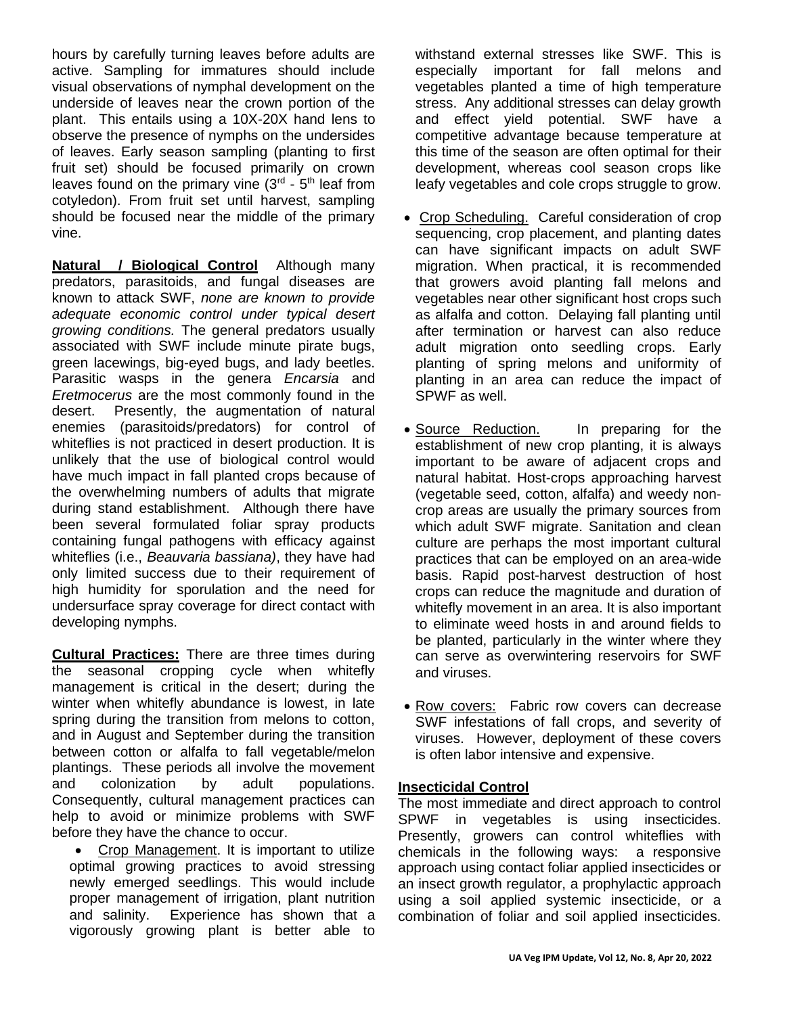hours by carefully turning leaves before adults are active. Sampling for immatures should include visual observations of nymphal development on the underside of leaves near the crown portion of the plant. This entails using a 10X-20X hand lens to observe the presence of nymphs on the undersides of leaves. Early season sampling (planting to first fruit set) should be focused primarily on crown leaves found on the primary vine  $(3<sup>rd</sup> - 5<sup>th</sup>$  leaf from cotyledon). From fruit set until harvest, sampling should be focused near the middle of the primary vine.

**Natural / Biological Control** Although many predators, parasitoids, and fungal diseases are known to attack SWF, *none are known to provide adequate economic control under typical desert growing conditions.* The general predators usually associated with SWF include minute pirate bugs, green lacewings, big-eyed bugs, and lady beetles. Parasitic wasps in the genera *Encarsia* and *Eretmocerus* are the most commonly found in the desert. Presently, the augmentation of natural enemies (parasitoids/predators) for control of whiteflies is not practiced in desert production. It is unlikely that the use of biological control would have much impact in fall planted crops because of the overwhelming numbers of adults that migrate during stand establishment. Although there have been several formulated foliar spray products containing fungal pathogens with efficacy against whiteflies (i.e., *Beauvaria bassiana)*, they have had only limited success due to their requirement of high humidity for sporulation and the need for undersurface spray coverage for direct contact with developing nymphs.

**Cultural Practices:** There are three times during the seasonal cropping cycle when whitefly management is critical in the desert; during the winter when whitefly abundance is lowest, in late spring during the transition from melons to cotton, and in August and September during the transition between cotton or alfalfa to fall vegetable/melon plantings. These periods all involve the movement and colonization by adult populations. Consequently, cultural management practices can help to avoid or minimize problems with SWF before they have the chance to occur.

• Crop Management. It is important to utilize optimal growing practices to avoid stressing newly emerged seedlings. This would include proper management of irrigation, plant nutrition and salinity. Experience has shown that a vigorously growing plant is better able to

withstand external stresses like SWF. This is especially important for fall melons and vegetables planted a time of high temperature stress. Any additional stresses can delay growth and effect yield potential. SWF have a competitive advantage because temperature at this time of the season are often optimal for their development, whereas cool season crops like leafy vegetables and cole crops struggle to grow.

- Crop Scheduling. Careful consideration of crop sequencing, crop placement, and planting dates can have significant impacts on adult SWF migration. When practical, it is recommended that growers avoid planting fall melons and vegetables near other significant host crops such as alfalfa and cotton. Delaying fall planting until after termination or harvest can also reduce adult migration onto seedling crops. Early planting of spring melons and uniformity of planting in an area can reduce the impact of SPWF as well.
- Source Reduction. In preparing for the establishment of new crop planting, it is always important to be aware of adjacent crops and natural habitat. Host-crops approaching harvest (vegetable seed, cotton, alfalfa) and weedy noncrop areas are usually the primary sources from which adult SWF migrate. Sanitation and clean culture are perhaps the most important cultural practices that can be employed on an area-wide basis. Rapid post-harvest destruction of host crops can reduce the magnitude and duration of whitefly movement in an area. It is also important to eliminate weed hosts in and around fields to be planted, particularly in the winter where they can serve as overwintering reservoirs for SWF and viruses.
- Row covers: Fabric row covers can decrease SWF infestations of fall crops, and severity of viruses. However, deployment of these covers is often labor intensive and expensive.

## **Insecticidal Control**

The most immediate and direct approach to control SPWF in vegetables is using insecticides. Presently, growers can control whiteflies with chemicals in the following ways: a responsive approach using contact foliar applied insecticides or an insect growth regulator, a prophylactic approach using a soil applied systemic insecticide, or a combination of foliar and soil applied insecticides.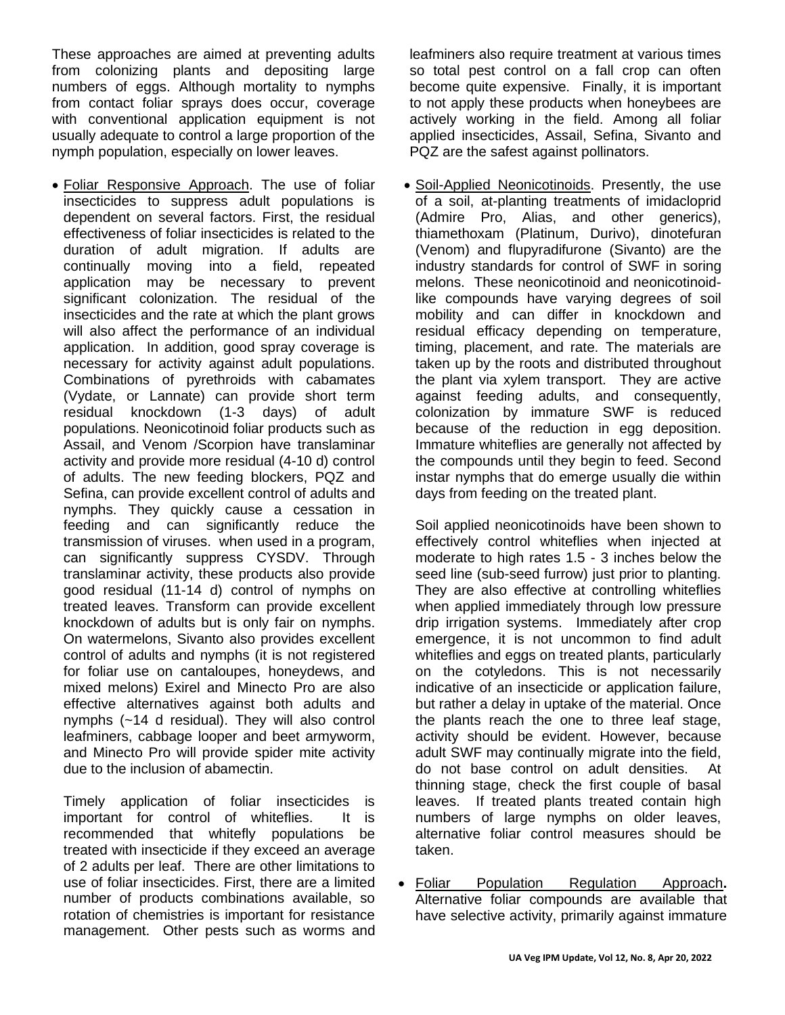These approaches are aimed at preventing adults from colonizing plants and depositing large numbers of eggs. Although mortality to nymphs from contact foliar sprays does occur, coverage with conventional application equipment is not usually adequate to control a large proportion of the nymph population, especially on lower leaves.

• Foliar Responsive Approach. The use of foliar insecticides to suppress adult populations is dependent on several factors. First, the residual effectiveness of foliar insecticides is related to the duration of adult migration. If adults are continually moving into a field, repeated application may be necessary to prevent significant colonization. The residual of the insecticides and the rate at which the plant grows will also affect the performance of an individual application. In addition, good spray coverage is necessary for activity against adult populations. Combinations of pyrethroids with cabamates (Vydate, or Lannate) can provide short term residual knockdown (1-3 days) of adult populations. Neonicotinoid foliar products such as Assail, and Venom /Scorpion have translaminar activity and provide more residual (4-10 d) control of adults. The new feeding blockers, PQZ and Sefina, can provide excellent control of adults and nymphs. They quickly cause a cessation in feeding and can significantly reduce the transmission of viruses. when used in a program, can significantly suppress CYSDV. Through translaminar activity, these products also provide good residual (11-14 d) control of nymphs on treated leaves. Transform can provide excellent knockdown of adults but is only fair on nymphs. On watermelons, Sivanto also provides excellent control of adults and nymphs (it is not registered for foliar use on cantaloupes, honeydews, and mixed melons) Exirel and Minecto Pro are also effective alternatives against both adults and nymphs (~14 d residual). They will also control leafminers, cabbage looper and beet armyworm, and Minecto Pro will provide spider mite activity due to the inclusion of abamectin.

Timely application of foliar insecticides is important for control of whiteflies. It is recommended that whitefly populations be treated with insecticide if they exceed an average of 2 adults per leaf. There are other limitations to use of foliar insecticides. First, there are a limited number of products combinations available, so rotation of chemistries is important for resistance management. Other pests such as worms and

leafminers also require treatment at various times so total pest control on a fall crop can often become quite expensive. Finally, it is important to not apply these products when honeybees are actively working in the field. Among all foliar applied insecticides, Assail, Sefina, Sivanto and PQZ are the safest against pollinators.

• Soil-Applied Neonicotinoids. Presently, the use of a soil, at-planting treatments of imidacloprid (Admire Pro, Alias, and other generics), thiamethoxam (Platinum, Durivo), dinotefuran (Venom) and flupyradifurone (Sivanto) are the industry standards for control of SWF in soring melons. These neonicotinoid and neonicotinoidlike compounds have varying degrees of soil mobility and can differ in knockdown and residual efficacy depending on temperature, timing, placement, and rate. The materials are taken up by the roots and distributed throughout the plant via xylem transport. They are active against feeding adults, and consequently, colonization by immature SWF is reduced because of the reduction in egg deposition. Immature whiteflies are generally not affected by the compounds until they begin to feed. Second instar nymphs that do emerge usually die within days from feeding on the treated plant.

Soil applied neonicotinoids have been shown to effectively control whiteflies when injected at moderate to high rates 1.5 - 3 inches below the seed line (sub-seed furrow) just prior to planting. They are also effective at controlling whiteflies when applied immediately through low pressure drip irrigation systems. Immediately after crop emergence, it is not uncommon to find adult whiteflies and eggs on treated plants, particularly on the cotyledons. This is not necessarily indicative of an insecticide or application failure, but rather a delay in uptake of the material. Once the plants reach the one to three leaf stage, activity should be evident. However, because adult SWF may continually migrate into the field, do not base control on adult densities. At thinning stage, check the first couple of basal leaves. If treated plants treated contain high numbers of large nymphs on older leaves, alternative foliar control measures should be taken.

• Foliar Population Regulation Approach**.**  Alternative foliar compounds are available that have selective activity, primarily against immature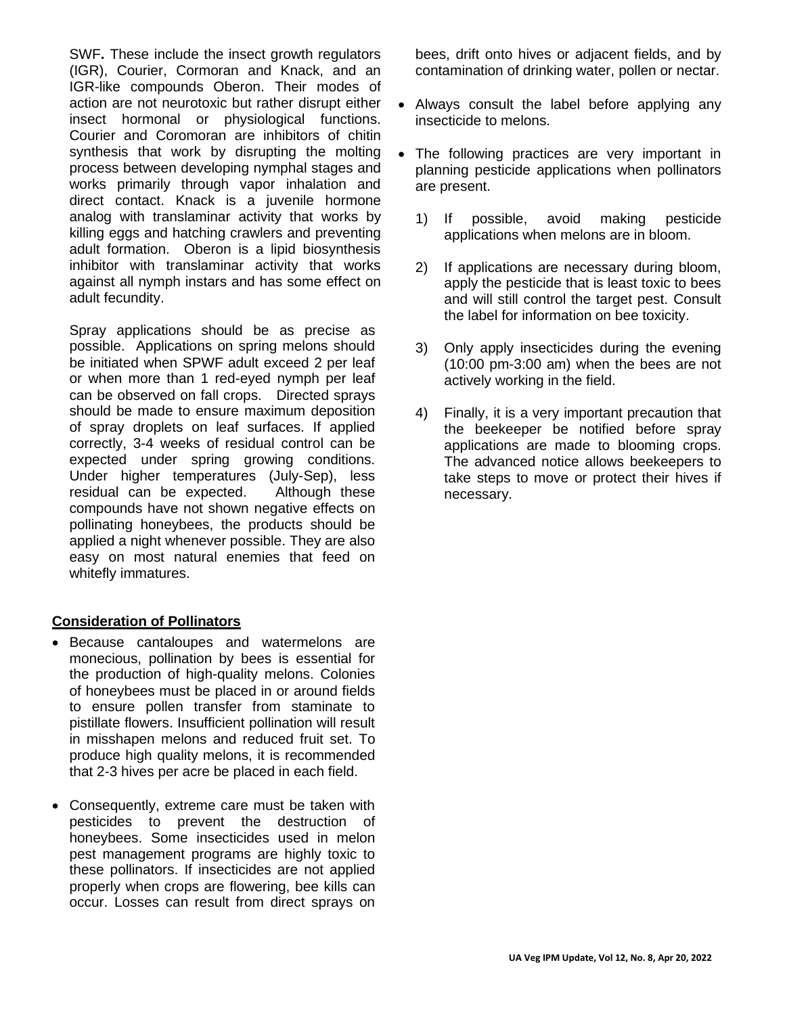SWF**.** These include the insect growth regulators (IGR), Courier, Cormoran and Knack, and an IGR-like compounds Oberon. Their modes of action are not neurotoxic but rather disrupt either insect hormonal or physiological functions. Courier and Coromoran are inhibitors of chitin synthesis that work by disrupting the molting process between developing nymphal stages and works primarily through vapor inhalation and direct contact. Knack is a juvenile hormone analog with translaminar activity that works by killing eggs and hatching crawlers and preventing adult formation. Oberon is a lipid biosynthesis inhibitor with translaminar activity that works against all nymph instars and has some effect on adult fecundity.

Spray applications should be as precise as possible. Applications on spring melons should be initiated when SPWF adult exceed 2 per leaf or when more than 1 red-eyed nymph per leaf can be observed on fall crops. Directed sprays should be made to ensure maximum deposition of spray droplets on leaf surfaces. If applied correctly, 3-4 weeks of residual control can be expected under spring growing conditions. Under higher temperatures (July-Sep), less residual can be expected. Although these compounds have not shown negative effects on pollinating honeybees, the products should be applied a night whenever possible. They are also easy on most natural enemies that feed on whitefly immatures.

## **Consideration of Pollinators**

- Because cantaloupes and watermelons are monecious, pollination by bees is essential for the production of high-quality melons. Colonies of honeybees must be placed in or around fields to ensure pollen transfer from staminate to pistillate flowers. Insufficient pollination will result in misshapen melons and reduced fruit set. To produce high quality melons, it is recommended that 2-3 hives per acre be placed in each field.
- Consequently, extreme care must be taken with pesticides to prevent the destruction of honeybees. Some insecticides used in melon pest management programs are highly toxic to these pollinators. If insecticides are not applied properly when crops are flowering, bee kills can occur. Losses can result from direct sprays on

bees, drift onto hives or adjacent fields, and by contamination of drinking water, pollen or nectar.

- Always consult the label before applying any insecticide to melons.
- The following practices are very important in planning pesticide applications when pollinators are present.
	- 1) If possible, avoid making pesticide applications when melons are in bloom.
	- 2) If applications are necessary during bloom, apply the pesticide that is least toxic to bees and will still control the target pest. Consult the label for information on bee toxicity.
	- 3) Only apply insecticides during the evening (10:00 pm-3:00 am) when the bees are not actively working in the field.
	- 4) Finally, it is a very important precaution that the beekeeper be notified before spray applications are made to blooming crops. The advanced notice allows beekeepers to take steps to move or protect their hives if necessary.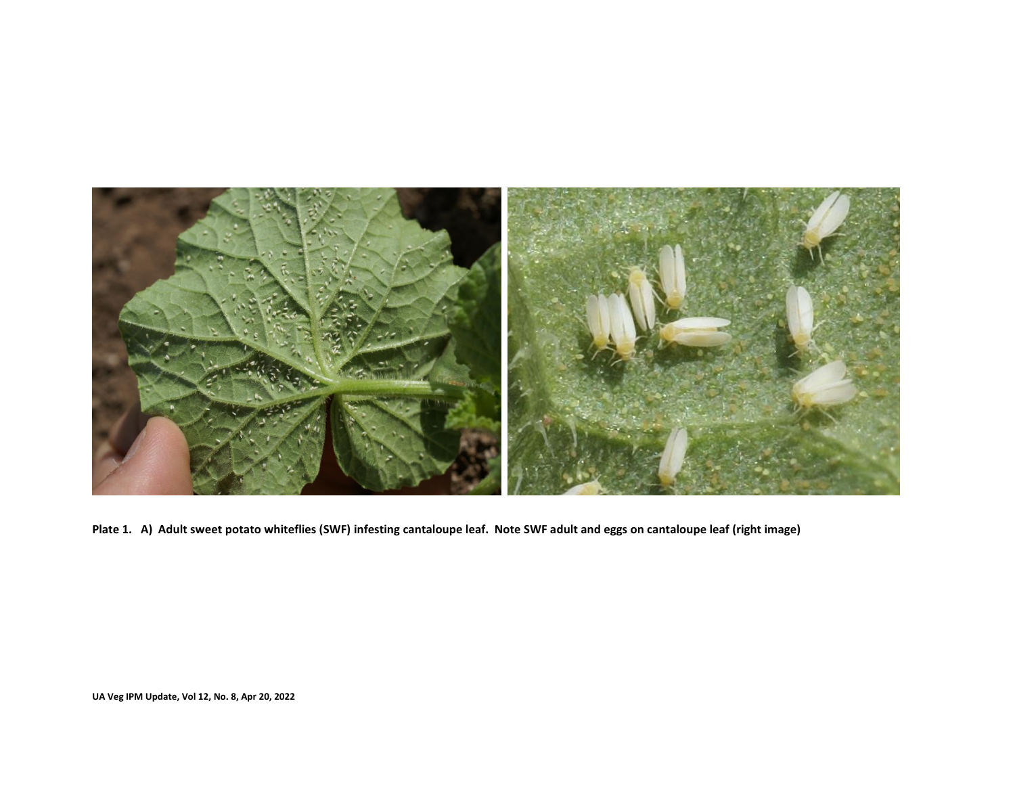

**Plate 1. A) Adult sweet potato whiteflies (SWF) infesting cantaloupe leaf. Note SWF adult and eggs on cantaloupe leaf (right image)**